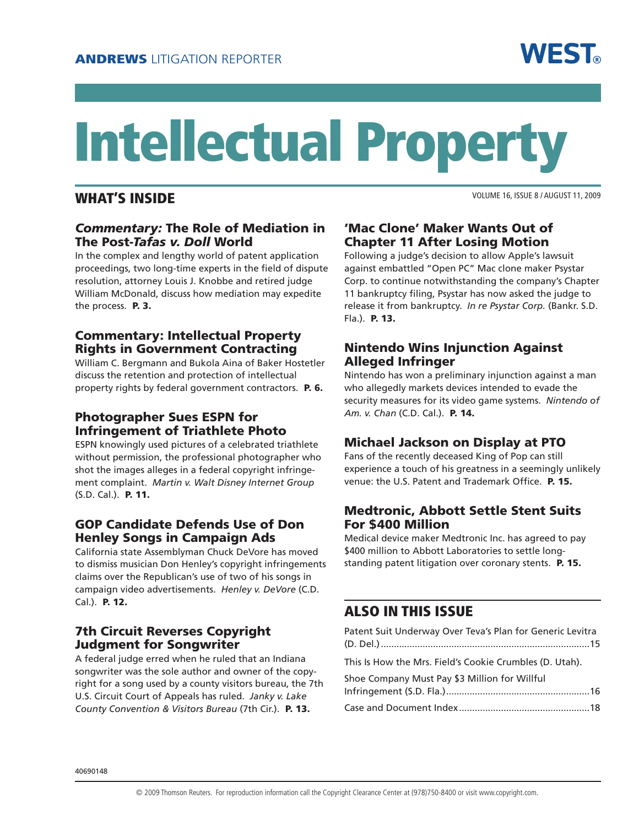

# Intellectual Property

### WHAT'S INSIDE

VOLUME 16, ISSUE 8 / AUGUST 11, 2009

### *Commentary:* The Role of Mediation in The Post-*Tafas v. Doll* World

In the complex and lengthy world of patent application proceedings, two long-time experts in the field of dispute resolution, attorney Louis J. Knobbe and retired judge William McDonald, discuss how mediation may expedite the process. P. 3.

### Commentary: Intellectual Property Rights in Government Contracting

William C. Bergmann and Bukola Aina of Baker Hostetler discuss the retention and protection of intellectual property rights by federal government contractors. P. 6.

### Photographer Sues ESPN for Infringement of Triathlete Photo

ESPN knowingly used pictures of a celebrated triathlete without permission, the professional photographer who shot the images alleges in a federal copyright infringement complaint. *Martin v. Walt Disney Internet Group* (S.D. Cal.). P. 11.

### GOP Candidate Defends Use of Don Henley Songs in Campaign Ads

California state Assemblyman Chuck DeVore has moved to dismiss musician Don Henley's copyright infringements claims over the Republican's use of two of his songs in campaign video advertisements. *Henley v. DeVore* (C.D. Cal.). P. 12.

### 7th Circuit Reverses Copyright Judgment for Songwriter

A federal judge erred when he ruled that an Indiana songwriter was the sole author and owner of the copyright for a song used by a county visitors bureau, the 7th U.S. Circuit Court of Appeals has ruled. *Janky v. Lake County Convention & Visitors Bureau* (7th Cir.). P. 13.

### 'Mac Clone' Maker Wants Out of Chapter 11 After Losing Motion

Following a judge's decision to allow Apple's lawsuit against embattled "Open PC" Mac clone maker Psystar Corp. to continue notwithstanding the company's Chapter 11 bankruptcy filing, Psystar has now asked the judge to release it from bankruptcy. *In re Psystar Corp.* (Bankr. S.D. Fla.). P. 13.

### Nintendo Wins Injunction Against Alleged Infringer

Nintendo has won a preliminary injunction against a man who allegedly markets devices intended to evade the security measures for its video game systems. *Nintendo of Am. v. Chan* (C.D. Cal.). P. 14.

### Michael Jackson on Display at PTO

Fans of the recently deceased King of Pop can still experience a touch of his greatness in a seemingly unlikely venue: the U.S. Patent and Trademark Office. P. 15.

### Medtronic, Abbott Settle Stent Suits For \$400 Million

Medical device maker Medtronic Inc. has agreed to pay \$400 million to Abbott Laboratories to settle longstanding patent litigation over coronary stents. P. 15.

## ALSO IN THIS ISSUE

| Patent Suit Underway Over Teva's Plan for Generic Levitra |  |
|-----------------------------------------------------------|--|
| This Is How the Mrs. Field's Cookie Crumbles (D. Utah).   |  |
| Shoe Company Must Pay \$3 Million for Willful             |  |
|                                                           |  |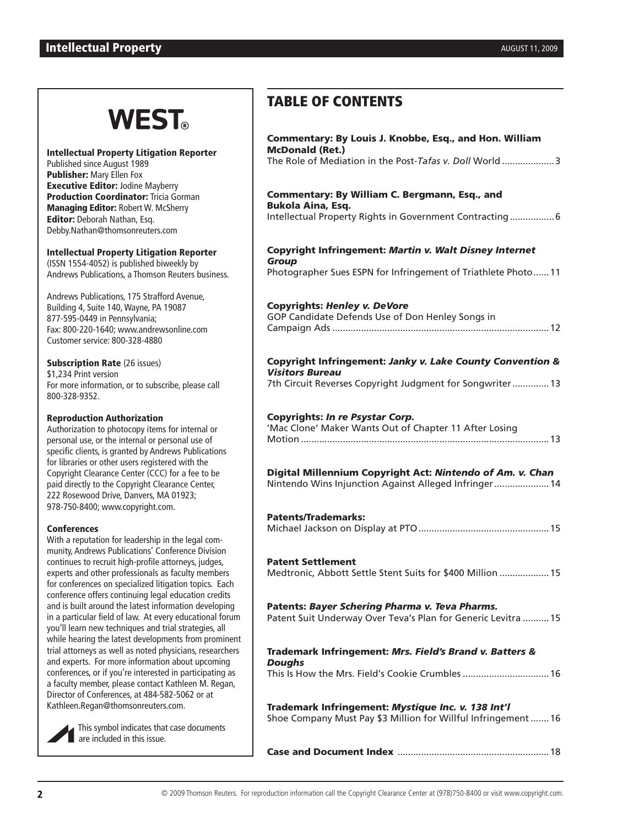#### **Intellectual Property AUGUST 11, 2009 AUGUST 11, 2009**

# **WEST**

#### Intellectual Property Litigation Reporter

Published since August 1989 Publisher: Mary Ellen Fox Executive Editor: Jodine Mayberry **Production Coordinator: Tricia Gorman** Managing Editor: Robert W. McSherry Editor: Deborah Nathan, Esq. Debby.Nathan@thomsonreuters.com

#### Intellectual Property Litigation Reporter

(ISSN 1554-4052) is published biweekly by Andrews Publications, a Thomson Reuters business.

Andrews Publications, 175 Strafford Avenue, Building 4, Suite 140, Wayne, PA 19087 877-595-0449 in Pennsylvania; Fax: 800-220-1640; www.andrewsonline.com Customer service: 800-328-4880

**Subscription Rate (26 issues)** \$1,234 Print version For more information, or to subscribe, please call 800-328-9352.

#### Reproduction Authorization

Authorization to photocopy items for internal or personal use, or the internal or personal use of specific clients, is granted by Andrews Publications for libraries or other users registered with the Copyright Clearance Center (CCC) for a fee to be paid directly to the Copyright Clearance Center, 222 Rosewood Drive, Danvers, MA 01923; 978-750-8400; www.copyright.com.

#### **Conferences**

With a reputation for leadership in the legal community, Andrews Publications' Conference Division continues to recruit high-profile attorneys, judges, experts and other professionals as faculty members for conferences on specialized litigation topics. Each conference offers continuing legal education credits and is built around the latest information developing in a particular field of law. At every educational forum you'll learn new techniques and trial strategies, all while hearing the latest developments from prominent trial attorneys as well as noted physicians, researchers and experts. For more information about upcoming conferences, or if you're interested in participating as a faculty member, please contact Kathleen M. Regan, Director of Conferences, at 484-582-5062 or at Kathleen.Regan@thomsonreuters.com.

> This symbol indicates that case documents are included in this issue.

# TABLE OF CONTENTS

| Commentary: By Louis J. Knobbe, Esq., and Hon. William<br><b>McDonald (Ret.)</b><br>The Role of Mediation in the Post-Tafas v. Doll World 3 |
|---------------------------------------------------------------------------------------------------------------------------------------------|
|                                                                                                                                             |
| Commentary: By William C. Bergmann, Esq., and<br><b>Bukola Aina, Esq.</b>                                                                   |
| Intellectual Property Rights in Government Contracting 6                                                                                    |
| Copyright Infringement: Martin v. Walt Disney Internet<br><b>Group</b>                                                                      |
| Photographer Sues ESPN for Infringement of Triathlete Photo 11                                                                              |
| <b>Copyrights: Henley v. DeVore</b>                                                                                                         |
| GOP Candidate Defends Use of Don Henley Songs in                                                                                            |
| Copyright Infringement: Janky v. Lake County Convention &                                                                                   |
| <b>Visitors Bureau</b><br>7th Circuit Reverses Copyright Judgment for Songwriter 13                                                         |
|                                                                                                                                             |
| Copyrights: In re Psystar Corp.<br>'Mac Clone' Maker Wants Out of Chapter 11 After Losing                                                   |
|                                                                                                                                             |
| Digital Millennium Copyright Act: Nintendo of Am. v. Chan<br>Nintendo Wins Injunction Against Alleged Infringer 14                          |
| <b>Patents/Trademarks:</b>                                                                                                                  |
|                                                                                                                                             |
| <b>Patent Settlement</b>                                                                                                                    |
| Medtronic, Abbott Settle Stent Suits for \$400 Million  15                                                                                  |
| Patents: Bayer Schering Pharma v. Teva Pharms.<br>Patent Suit Underway Over Teva's Plan for Generic Levitra  15                             |
| Trademark Infringement: Mrs. Field's Brand v. Batters &                                                                                     |
| <b>Doughs</b><br>This Is How the Mrs. Field's Cookie Crumbles  16                                                                           |
| Trademark Infringement: Mystique Inc. v. 138 Int'l<br>Shoe Company Must Pay \$3 Million for Willful Infringement  16                        |
|                                                                                                                                             |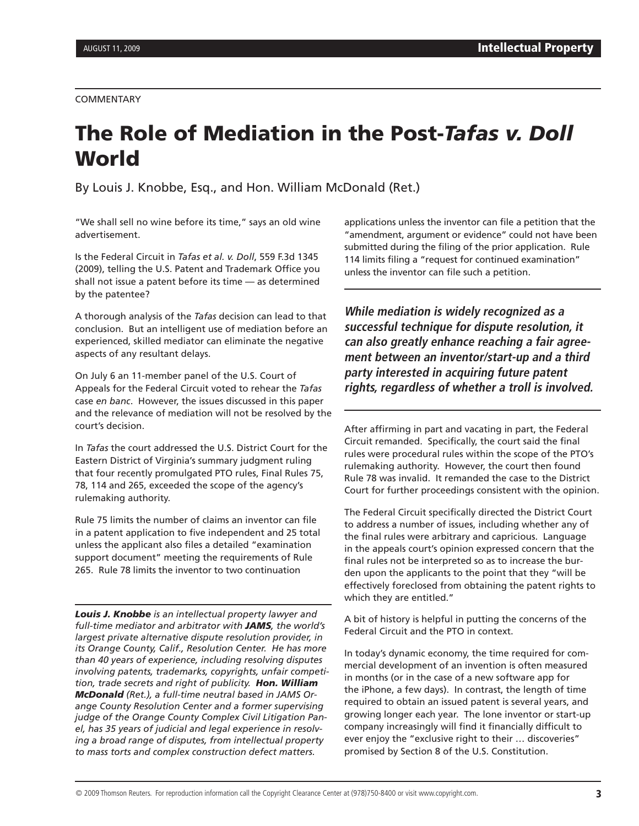#### COMMENTARY

# The Role of Mediation in the Post-*Tafas v. Doll* **World**

By Louis J. Knobbe, Esq., and Hon. William McDonald (Ret.)

"We shall sell no wine before its time," says an old wine advertisement.

Is the Federal Circuit in *Tafas et al. v. Doll*, 559 F.3d 1345 (2009), telling the U.S. Patent and Trademark Office you shall not issue a patent before its time — as determined by the patentee?

A thorough analysis of the *Tafas* decision can lead to that conclusion. But an intelligent use of mediation before an experienced, skilled mediator can eliminate the negative aspects of any resultant delays.

On July 6 an 11-member panel of the U.S. Court of Appeals for the Federal Circuit voted to rehear the *Tafas*  case *en banc*. However, the issues discussed in this paper and the relevance of mediation will not be resolved by the court's decision.

In *Tafas* the court addressed the U.S. District Court for the Eastern District of Virginia's summary judgment ruling that four recently promulgated PTO rules, Final Rules 75, 78, 114 and 265, exceeded the scope of the agency's rulemaking authority.

Rule 75 limits the number of claims an inventor can file in a patent application to five independent and 25 total unless the applicant also files a detailed "examination support document" meeting the requirements of Rule 265. Rule 78 limits the inventor to two continuation

*Louis J. Knobbe is an intellectual property lawyer and full-time mediator and arbitrator with JAMS, the world's largest private alternative dispute resolution provider, in its Orange County, Calif., Resolution Center. He has more than 40 years of experience, including resolving disputes involving patents, trademarks, copyrights, unfair competition, trade secrets and right of publicity. Hon. William McDonald (Ret.), a full-time neutral based in JAMS Orange County Resolution Center and a former supervising judge of the Orange County Complex Civil Litigation Panel, has 35 years of judicial and legal experience in resolving a broad range of disputes, from intellectual property to mass torts and complex construction defect matters.*

applications unless the inventor can file a petition that the "amendment, argument or evidence" could not have been submitted during the filing of the prior application. Rule 114 limits filing a "request for continued examination" unless the inventor can file such a petition.

**While mediation is widely recognized as a successful technique for dispute resolution, it can also greatly enhance reaching a fair agreement between an inventor/start-up and a third party interested in acquiring future patent rights, regardless of whether a troll is involved.**

After affirming in part and vacating in part, the Federal Circuit remanded. Specifically, the court said the final rules were procedural rules within the scope of the PTO's rulemaking authority. However, the court then found Rule 78 was invalid. It remanded the case to the District Court for further proceedings consistent with the opinion.

The Federal Circuit specifically directed the District Court to address a number of issues, including whether any of the final rules were arbitrary and capricious. Language in the appeals court's opinion expressed concern that the final rules not be interpreted so as to increase the burden upon the applicants to the point that they "will be effectively foreclosed from obtaining the patent rights to which they are entitled."

A bit of history is helpful in putting the concerns of the Federal Circuit and the PTO in context.

In today's dynamic economy, the time required for commercial development of an invention is often measured in months (or in the case of a new software app for the iPhone, a few days). In contrast, the length of time required to obtain an issued patent is several years, and growing longer each year. The lone inventor or start-up company increasingly will find it financially difficult to ever enjoy the "exclusive right to their … discoveries" promised by Section 8 of the U.S. Constitution.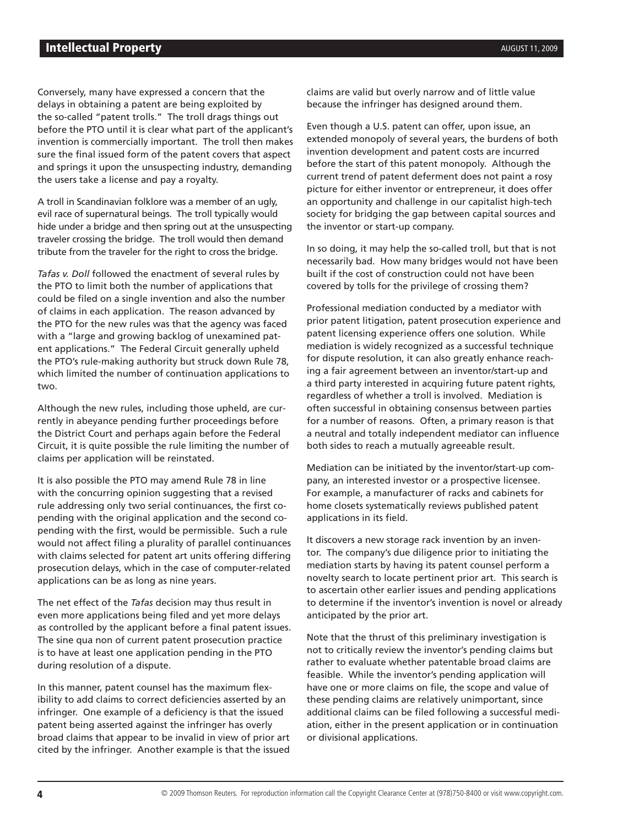Conversely, many have expressed a concern that the delays in obtaining a patent are being exploited by the so-called "patent trolls." The troll drags things out before the PTO until it is clear what part of the applicant's invention is commercially important. The troll then makes sure the final issued form of the patent covers that aspect and springs it upon the unsuspecting industry, demanding the users take a license and pay a royalty.

A troll in Scandinavian folklore was a member of an ugly, evil race of supernatural beings. The troll typically would hide under a bridge and then spring out at the unsuspecting traveler crossing the bridge. The troll would then demand tribute from the traveler for the right to cross the bridge.

*Tafas v. Doll* followed the enactment of several rules by the PTO to limit both the number of applications that could be filed on a single invention and also the number of claims in each application. The reason advanced by the PTO for the new rules was that the agency was faced with a "large and growing backlog of unexamined patent applications." The Federal Circuit generally upheld the PTO's rule-making authority but struck down Rule 78, which limited the number of continuation applications to two.

Although the new rules, including those upheld, are currently in abeyance pending further proceedings before the District Court and perhaps again before the Federal Circuit, it is quite possible the rule limiting the number of claims per application will be reinstated.

It is also possible the PTO may amend Rule 78 in line with the concurring opinion suggesting that a revised rule addressing only two serial continuances, the first copending with the original application and the second copending with the first, would be permissible. Such a rule would not affect filing a plurality of parallel continuances with claims selected for patent art units offering differing prosecution delays, which in the case of computer-related applications can be as long as nine years.

The net effect of the *Tafas* decision may thus result in even more applications being filed and yet more delays as controlled by the applicant before a final patent issues. The sine qua non of current patent prosecution practice is to have at least one application pending in the PTO during resolution of a dispute.

In this manner, patent counsel has the maximum flexibility to add claims to correct deficiencies asserted by an infringer. One example of a deficiency is that the issued patent being asserted against the infringer has overly broad claims that appear to be invalid in view of prior art cited by the infringer. Another example is that the issued

claims are valid but overly narrow and of little value because the infringer has designed around them.

Even though a U.S. patent can offer, upon issue, an extended monopoly of several years, the burdens of both invention development and patent costs are incurred before the start of this patent monopoly. Although the current trend of patent deferment does not paint a rosy picture for either inventor or entrepreneur, it does offer an opportunity and challenge in our capitalist high-tech society for bridging the gap between capital sources and the inventor or start-up company.

In so doing, it may help the so-called troll, but that is not necessarily bad. How many bridges would not have been built if the cost of construction could not have been covered by tolls for the privilege of crossing them?

Professional mediation conducted by a mediator with prior patent litigation, patent prosecution experience and patent licensing experience offers one solution. While mediation is widely recognized as a successful technique for dispute resolution, it can also greatly enhance reaching a fair agreement between an inventor/start-up and a third party interested in acquiring future patent rights, regardless of whether a troll is involved. Mediation is often successful in obtaining consensus between parties for a number of reasons. Often, a primary reason is that a neutral and totally independent mediator can influence both sides to reach a mutually agreeable result.

Mediation can be initiated by the inventor/start-up company, an interested investor or a prospective licensee. For example, a manufacturer of racks and cabinets for home closets systematically reviews published patent applications in its field.

It discovers a new storage rack invention by an inventor. The company's due diligence prior to initiating the mediation starts by having its patent counsel perform a novelty search to locate pertinent prior art. This search is to ascertain other earlier issues and pending applications to determine if the inventor's invention is novel or already anticipated by the prior art.

Note that the thrust of this preliminary investigation is not to critically review the inventor's pending claims but rather to evaluate whether patentable broad claims are feasible. While the inventor's pending application will have one or more claims on file, the scope and value of these pending claims are relatively unimportant, since additional claims can be filed following a successful mediation, either in the present application or in continuation or divisional applications.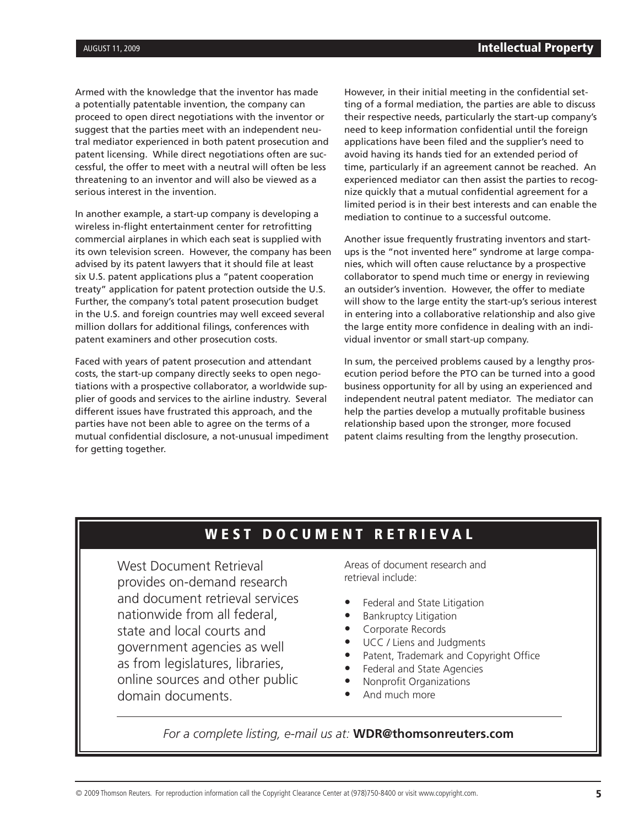Armed with the knowledge that the inventor has made a potentially patentable invention, the company can proceed to open direct negotiations with the inventor or suggest that the parties meet with an independent neutral mediator experienced in both patent prosecution and patent licensing. While direct negotiations often are successful, the offer to meet with a neutral will often be less threatening to an inventor and will also be viewed as a serious interest in the invention.

In another example, a start-up company is developing a wireless in-flight entertainment center for retrofitting commercial airplanes in which each seat is supplied with its own television screen. However, the company has been advised by its patent lawyers that it should file at least six U.S. patent applications plus a "patent cooperation treaty" application for patent protection outside the U.S. Further, the company's total patent prosecution budget in the U.S. and foreign countries may well exceed several million dollars for additional filings, conferences with patent examiners and other prosecution costs.

Faced with years of patent prosecution and attendant costs, the start-up company directly seeks to open negotiations with a prospective collaborator, a worldwide supplier of goods and services to the airline industry. Several different issues have frustrated this approach, and the parties have not been able to agree on the terms of a mutual confidential disclosure, a not-unusual impediment for getting together.

However, in their initial meeting in the confidential setting of a formal mediation, the parties are able to discuss their respective needs, particularly the start-up company's need to keep information confidential until the foreign applications have been filed and the supplier's need to avoid having its hands tied for an extended period of time, particularly if an agreement cannot be reached. An experienced mediator can then assist the parties to recognize quickly that a mutual confidential agreement for a limited period is in their best interests and can enable the mediation to continue to a successful outcome.

Another issue frequently frustrating inventors and startups is the "not invented here" syndrome at large companies, which will often cause reluctance by a prospective collaborator to spend much time or energy in reviewing an outsider's invention. However, the offer to mediate will show to the large entity the start-up's serious interest in entering into a collaborative relationship and also give the large entity more confidence in dealing with an individual inventor or small start-up company.

In sum, the perceived problems caused by a lengthy prosecution period before the PTO can be turned into a good business opportunity for all by using an experienced and independent neutral patent mediator. The mediator can help the parties develop a mutually profitable business relationship based upon the stronger, more focused patent claims resulting from the lengthy prosecution.

# WEST DOCUMENT RETRIEVAL

West Document Retrieval provides on-demand research and document retrieval services nationwide from all federal, state and local courts and government agencies as well as from legislatures, libraries, online sources and other public domain documents.

Areas of document research and retrieval include:

- Federal and State Litigation
- **Bankruptcy Litigation**
- Corporate Records
- UCC / Liens and Judgments
- Patent, Trademark and Copyright Office
- Federal and State Agencies
- Nonprofit Organizations
- And much more

*For a complete listing, e-mail us at:* **WDR@thomsonreuters.com**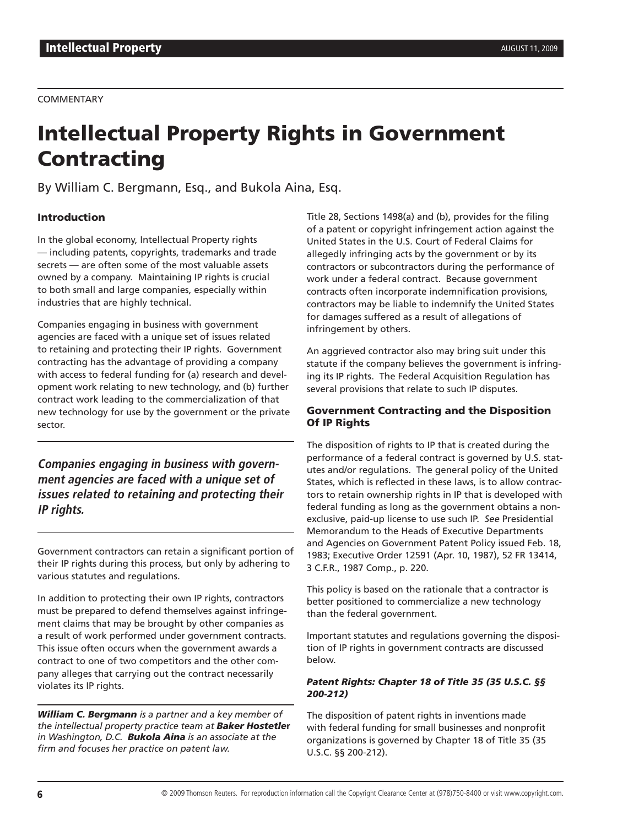#### **COMMENTARY**

# Intellectual Property Rights in Government **Contracting**

By William C. Bergmann, Esq., and Bukola Aina, Esq.

#### Introduction

In the global economy, Intellectual Property rights — including patents, copyrights, trademarks and trade secrets — are often some of the most valuable assets owned by a company. Maintaining IP rights is crucial to both small and large companies, especially within industries that are highly technical.

Companies engaging in business with government agencies are faced with a unique set of issues related to retaining and protecting their IP rights. Government contracting has the advantage of providing a company with access to federal funding for (a) research and development work relating to new technology, and (b) further contract work leading to the commercialization of that new technology for use by the government or the private sector.

**Companies engaging in business with government agencies are faced with a unique set of issues related to retaining and protecting their IP rights.**

Government contractors can retain a significant portion of their IP rights during this process, but only by adhering to various statutes and regulations.

In addition to protecting their own IP rights, contractors must be prepared to defend themselves against infringement claims that may be brought by other companies as a result of work performed under government contracts. This issue often occurs when the government awards a contract to one of two competitors and the other company alleges that carrying out the contract necessarily violates its IP rights.

*William C. Bergmann is a partner and a key member of the intellectual property practice team at Baker Hostetle***r** *in Washington, D.C. Bukola Aina is an associate at the firm and focuses her practice on patent law.*

Title 28, Sections 1498(a) and (b), provides for the filing of a patent or copyright infringement action against the United States in the U.S. Court of Federal Claims for allegedly infringing acts by the government or by its contractors or subcontractors during the performance of work under a federal contract. Because government contracts often incorporate indemnification provisions, contractors may be liable to indemnify the United States for damages suffered as a result of allegations of infringement by others.

An aggrieved contractor also may bring suit under this statute if the company believes the government is infringing its IP rights. The Federal Acquisition Regulation has several provisions that relate to such IP disputes.

#### Government Contracting and the Disposition Of IP Rights

The disposition of rights to IP that is created during the performance of a federal contract is governed by U.S. statutes and/or regulations. The general policy of the United States, which is reflected in these laws, is to allow contractors to retain ownership rights in IP that is developed with federal funding as long as the government obtains a nonexclusive, paid-up license to use such IP. *See* Presidential Memorandum to the Heads of Executive Departments and Agencies on Government Patent Policy issued Feb. 18, 1983; Executive Order 12591 (Apr. 10, 1987), 52 FR 13414, 3 C.F.R., 1987 Comp., p. 220.

This policy is based on the rationale that a contractor is better positioned to commercialize a new technology than the federal government.

Important statutes and regulations governing the disposition of IP rights in government contracts are discussed below.

#### *Patent Rights: Chapter 18 of Title 35 (35 U.S.C. §§ 200-212)*

The disposition of patent rights in inventions made with federal funding for small businesses and nonprofit organizations is governed by Chapter 18 of Title 35 (35 U.S.C. §§ 200-212).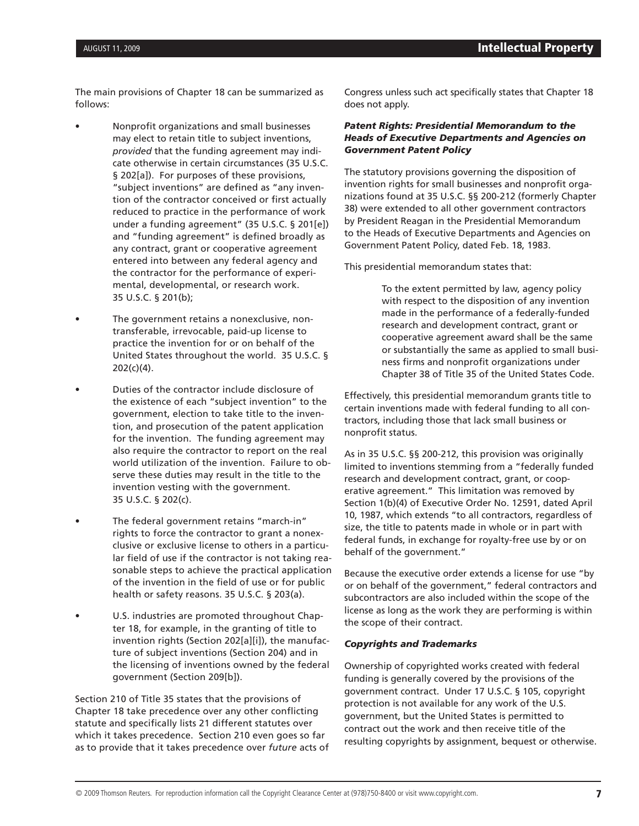The main provisions of Chapter 18 can be summarized as follows:

- Nonprofit organizations and small businesses may elect to retain title to subject inventions, *provided* that the funding agreement may indicate otherwise in certain circumstances (35 U.S.C. § 202[a]). For purposes of these provisions, "subject inventions" are defined as "any invention of the contractor conceived or first actually reduced to practice in the performance of work under a funding agreement" (35 U.S.C. § 201[e]) and "funding agreement" is defined broadly as any contract, grant or cooperative agreement entered into between any federal agency and the contractor for the performance of experimental, developmental, or research work. 35 U.S.C. § 201(b);
- The government retains a nonexclusive, nontransferable, irrevocable, paid-up license to practice the invention for or on behalf of the United States throughout the world. 35 U.S.C. § 202(c)(4).
- Duties of the contractor include disclosure of the existence of each "subject invention" to the government, election to take title to the invention, and prosecution of the patent application for the invention. The funding agreement may also require the contractor to report on the real world utilization of the invention. Failure to observe these duties may result in the title to the invention vesting with the government. 35 U.S.C. § 202(c).
- The federal government retains "march-in" rights to force the contractor to grant a nonexclusive or exclusive license to others in a particular field of use if the contractor is not taking reasonable steps to achieve the practical application of the invention in the field of use or for public health or safety reasons. 35 U.S.C. § 203(a).
- U.S. industries are promoted throughout Chapter 18, for example, in the granting of title to invention rights (Section 202[a][i]), the manufacture of subject inventions (Section 204) and in the licensing of inventions owned by the federal government (Section 209[b]).

Section 210 of Title 35 states that the provisions of Chapter 18 take precedence over any other conflicting statute and specifically lists 21 different statutes over which it takes precedence. Section 210 even goes so far as to provide that it takes precedence over *future* acts of Congress unless such act specifically states that Chapter 18 does not apply.

#### *Patent Rights: Presidential Memorandum to the Heads of Executive Departments and Agencies on Government Patent Policy*

The statutory provisions governing the disposition of invention rights for small businesses and nonprofit organizations found at 35 U.S.C. §§ 200-212 (formerly Chapter 38) were extended to all other government contractors by President Reagan in the Presidential Memorandum to the Heads of Executive Departments and Agencies on Government Patent Policy, dated Feb. 18, 1983.

This presidential memorandum states that:

To the extent permitted by law, agency policy with respect to the disposition of any invention made in the performance of a federally-funded research and development contract, grant or cooperative agreement award shall be the same or substantially the same as applied to small business firms and nonprofit organizations under Chapter 38 of Title 35 of the United States Code.

Effectively, this presidential memorandum grants title to certain inventions made with federal funding to all contractors, including those that lack small business or nonprofit status.

As in 35 U.S.C. §§ 200-212, this provision was originally limited to inventions stemming from a "federally funded research and development contract, grant, or cooperative agreement." This limitation was removed by Section 1(b)(4) of Executive Order No. 12591, dated April 10, 1987, which extends "to all contractors, regardless of size, the title to patents made in whole or in part with federal funds, in exchange for royalty-free use by or on behalf of the government."

Because the executive order extends a license for use "by or on behalf of the government," federal contractors and subcontractors are also included within the scope of the license as long as the work they are performing is within the scope of their contract.

#### *Copyrights and Trademarks*

Ownership of copyrighted works created with federal funding is generally covered by the provisions of the government contract. Under 17 U.S.C. § 105, copyright protection is not available for any work of the U.S. government, but the United States is permitted to contract out the work and then receive title of the resulting copyrights by assignment, bequest or otherwise.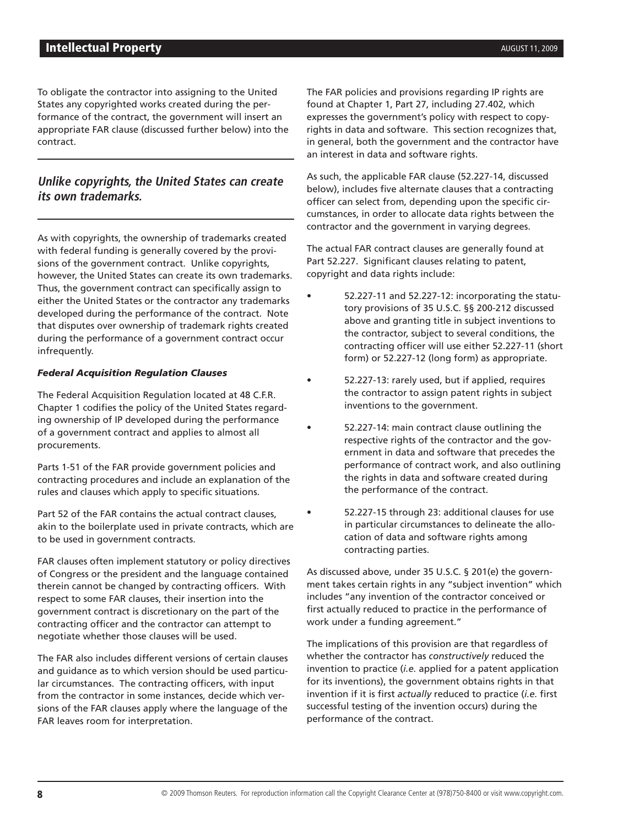To obligate the contractor into assigning to the United States any copyrighted works created during the performance of the contract, the government will insert an appropriate FAR clause (discussed further below) into the contract.

### **Unlike copyrights, the United States can create its own trademarks.**

As with copyrights, the ownership of trademarks created with federal funding is generally covered by the provisions of the government contract. Unlike copyrights, however, the United States can create its own trademarks. Thus, the government contract can specifically assign to either the United States or the contractor any trademarks developed during the performance of the contract. Note that disputes over ownership of trademark rights created during the performance of a government contract occur infrequently.

#### *Federal Acquisition Regulation Clauses*

The Federal Acquisition Regulation located at 48 C.F.R. Chapter 1 codifies the policy of the United States regarding ownership of IP developed during the performance of a government contract and applies to almost all procurements.

Parts 1-51 of the FAR provide government policies and contracting procedures and include an explanation of the rules and clauses which apply to specific situations.

Part 52 of the FAR contains the actual contract clauses, akin to the boilerplate used in private contracts, which are to be used in government contracts.

FAR clauses often implement statutory or policy directives of Congress or the president and the language contained therein cannot be changed by contracting officers. With respect to some FAR clauses, their insertion into the government contract is discretionary on the part of the contracting officer and the contractor can attempt to negotiate whether those clauses will be used.

The FAR also includes different versions of certain clauses and guidance as to which version should be used particular circumstances. The contracting officers, with input from the contractor in some instances, decide which versions of the FAR clauses apply where the language of the FAR leaves room for interpretation.

The FAR policies and provisions regarding IP rights are found at Chapter 1, Part 27, including 27.402, which expresses the government's policy with respect to copyrights in data and software. This section recognizes that, in general, both the government and the contractor have an interest in data and software rights.

As such, the applicable FAR clause (52.227-14, discussed below), includes five alternate clauses that a contracting officer can select from, depending upon the specific circumstances, in order to allocate data rights between the contractor and the government in varying degrees.

The actual FAR contract clauses are generally found at Part 52.227. Significant clauses relating to patent, copyright and data rights include:

- 52.227-11 and 52.227-12: incorporating the statutory provisions of 35 U.S.C. §§ 200-212 discussed above and granting title in subject inventions to the contractor, subject to several conditions, the contracting officer will use either 52.227-11 (short form) or 52.227-12 (long form) as appropriate.
- 52.227-13: rarely used, but if applied, requires the contractor to assign patent rights in subject inventions to the government.
	- 52.227-14: main contract clause outlining the respective rights of the contractor and the government in data and software that precedes the performance of contract work, and also outlining the rights in data and software created during the performance of the contract.
	- 52.227-15 through 23: additional clauses for use in particular circumstances to delineate the allocation of data and software rights among contracting parties.

As discussed above, under 35 U.S.C. § 201(e) the government takes certain rights in any "subject invention" which includes "any invention of the contractor conceived or first actually reduced to practice in the performance of work under a funding agreement."

The implications of this provision are that regardless of whether the contractor has *constructively* reduced the invention to practice (*i.e.* applied for a patent application for its inventions), the government obtains rights in that invention if it is first *actually* reduced to practice (*i.e.* first successful testing of the invention occurs) during the performance of the contract.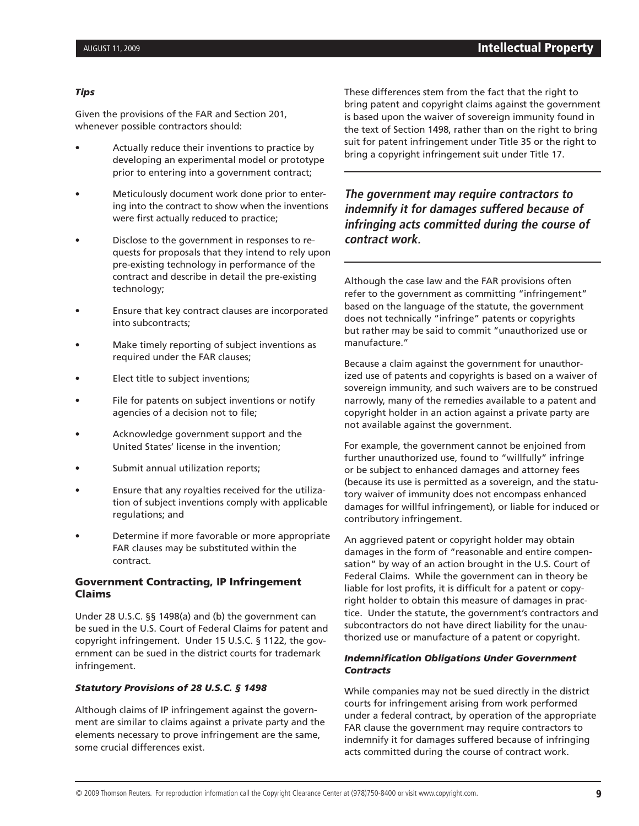#### *Tips*

Given the provisions of the FAR and Section 201, whenever possible contractors should:

- Actually reduce their inventions to practice by developing an experimental model or prototype prior to entering into a government contract;
- Meticulously document work done prior to entering into the contract to show when the inventions were first actually reduced to practice;
- Disclose to the government in responses to requests for proposals that they intend to rely upon pre-existing technology in performance of the contract and describe in detail the pre-existing technology;
- Ensure that key contract clauses are incorporated into subcontracts;
- Make timely reporting of subject inventions as required under the FAR clauses;
- Elect title to subject inventions;
- File for patents on subject inventions or notify agencies of a decision not to file;
- Acknowledge government support and the United States' license in the invention;
- Submit annual utilization reports;
- Ensure that any royalties received for the utilization of subject inventions comply with applicable regulations; and
- Determine if more favorable or more appropriate FAR clauses may be substituted within the contract.

#### Government Contracting, IP Infringement Claims

Under 28 U.S.C. §§ 1498(a) and (b) the government can be sued in the U.S. Court of Federal Claims for patent and copyright infringement. Under 15 U.S.C. § 1122, the government can be sued in the district courts for trademark infringement.

#### *Statutory Provisions of 28 U.S.C. § 1498*

Although claims of IP infringement against the government are similar to claims against a private party and the elements necessary to prove infringement are the same, some crucial differences exist.

These differences stem from the fact that the right to bring patent and copyright claims against the government is based upon the waiver of sovereign immunity found in the text of Section 1498, rather than on the right to bring suit for patent infringement under Title 35 or the right to bring a copyright infringement suit under Title 17.

**The government may require contractors to indemnify it for damages suffered because of infringing acts committed during the course of contract work.**

Although the case law and the FAR provisions often refer to the government as committing "infringement" based on the language of the statute, the government does not technically "infringe" patents or copyrights but rather may be said to commit "unauthorized use or manufacture."

Because a claim against the government for unauthorized use of patents and copyrights is based on a waiver of sovereign immunity, and such waivers are to be construed narrowly, many of the remedies available to a patent and copyright holder in an action against a private party are not available against the government.

For example, the government cannot be enjoined from further unauthorized use, found to "willfully" infringe or be subject to enhanced damages and attorney fees (because its use is permitted as a sovereign, and the statutory waiver of immunity does not encompass enhanced damages for willful infringement), or liable for induced or contributory infringement.

An aggrieved patent or copyright holder may obtain damages in the form of "reasonable and entire compensation" by way of an action brought in the U.S. Court of Federal Claims. While the government can in theory be liable for lost profits, it is difficult for a patent or copyright holder to obtain this measure of damages in practice. Under the statute, the government's contractors and subcontractors do not have direct liability for the unauthorized use or manufacture of a patent or copyright.

#### *Indemnification Obligations Under Government Contracts*

While companies may not be sued directly in the district courts for infringement arising from work performed under a federal contract, by operation of the appropriate FAR clause the government may require contractors to indemnify it for damages suffered because of infringing acts committed during the course of contract work.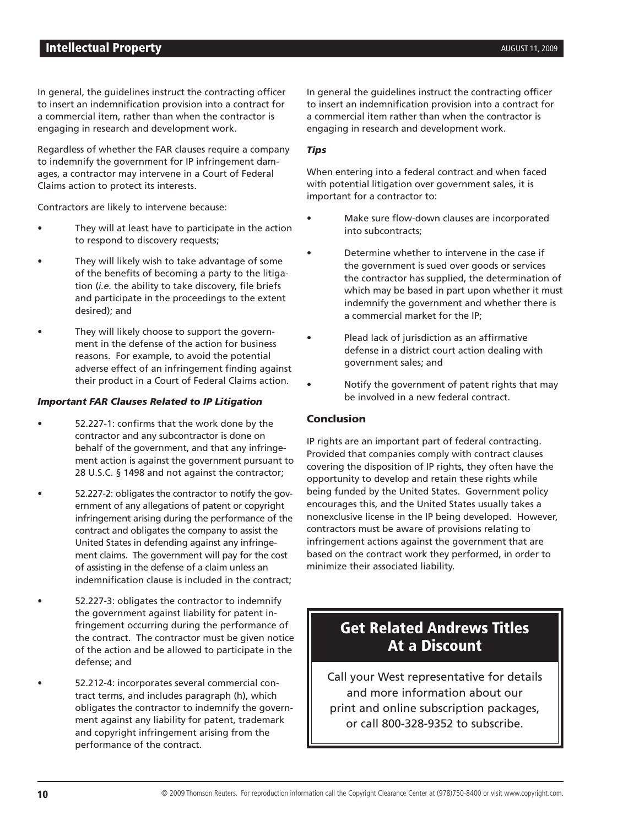In general, the guidelines instruct the contracting officer to insert an indemnification provision into a contract for a commercial item, rather than when the contractor is engaging in research and development work.

Regardless of whether the FAR clauses require a company to indemnify the government for IP infringement damages, a contractor may intervene in a Court of Federal Claims action to protect its interests.

Contractors are likely to intervene because:

- They will at least have to participate in the action to respond to discovery requests;
- They will likely wish to take advantage of some of the benefits of becoming a party to the litigation (*i.e.* the ability to take discovery, file briefs and participate in the proceedings to the extent desired); and
- They will likely choose to support the government in the defense of the action for business reasons. For example, to avoid the potential adverse effect of an infringement finding against their product in a Court of Federal Claims action.

#### *Important FAR Clauses Related to IP Litigation*

- 52.227-1: confirms that the work done by the contractor and any subcontractor is done on behalf of the government, and that any infringement action is against the government pursuant to 28 U.S.C. § 1498 and not against the contractor;
- 52.227-2: obligates the contractor to notify the government of any allegations of patent or copyright infringement arising during the performance of the contract and obligates the company to assist the United States in defending against any infringement claims. The government will pay for the cost of assisting in the defense of a claim unless an indemnification clause is included in the contract;
- 52.227-3: obligates the contractor to indemnify the government against liability for patent infringement occurring during the performance of the contract. The contractor must be given notice of the action and be allowed to participate in the defense; and
	- 52.212-4: incorporates several commercial contract terms, and includes paragraph (h), which obligates the contractor to indemnify the government against any liability for patent, trademark and copyright infringement arising from the performance of the contract.

In general the guidelines instruct the contracting officer to insert an indemnification provision into a contract for a commercial item rather than when the contractor is engaging in research and development work.

#### *Tips*

When entering into a federal contract and when faced with potential litigation over government sales, it is important for a contractor to:

- Make sure flow-down clauses are incorporated into subcontracts;
- Determine whether to intervene in the case if the government is sued over goods or services the contractor has supplied, the determination of which may be based in part upon whether it must indemnify the government and whether there is a commercial market for the IP;
- Plead lack of jurisdiction as an affirmative defense in a district court action dealing with government sales; and
- Notify the government of patent rights that may be involved in a new federal contract.

#### Conclusion

IP rights are an important part of federal contracting. Provided that companies comply with contract clauses covering the disposition of IP rights, they often have the opportunity to develop and retain these rights while being funded by the United States. Government policy encourages this, and the United States usually takes a nonexclusive license in the IP being developed. However, contractors must be aware of provisions relating to infringement actions against the government that are based on the contract work they performed, in order to minimize their associated liability.

# Get Related Andrews Titles At a Discount

Call your West representative for details and more information about our print and online subscription packages, or call 800-328-9352 to subscribe.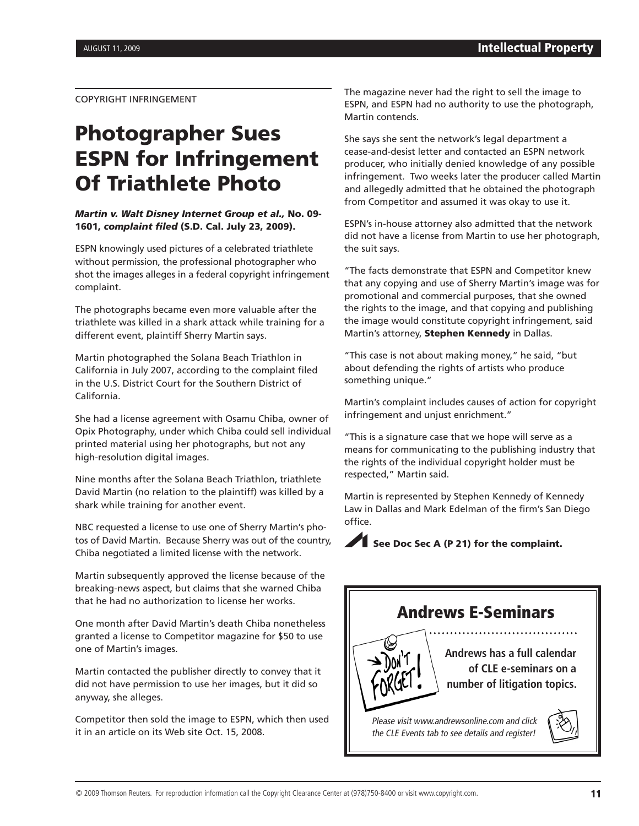COPYRIGHT INFRINGEMENT

# Photographer Sues ESPN for Infringement Of Triathlete Photo

#### *Martin v. Walt Disney Internet Group et al.,* No. 09- 1601, *complaint filed* (S.D. Cal. July 23, 2009).

ESPN knowingly used pictures of a celebrated triathlete without permission, the professional photographer who shot the images alleges in a federal copyright infringement complaint.

The photographs became even more valuable after the triathlete was killed in a shark attack while training for a different event, plaintiff Sherry Martin says.

Martin photographed the Solana Beach Triathlon in California in July 2007, according to the complaint filed in the U.S. District Court for the Southern District of California.

She had a license agreement with Osamu Chiba, owner of Opix Photography, under which Chiba could sell individual printed material using her photographs, but not any high-resolution digital images.

Nine months after the Solana Beach Triathlon, triathlete David Martin (no relation to the plaintiff) was killed by a shark while training for another event.

NBC requested a license to use one of Sherry Martin's photos of David Martin. Because Sherry was out of the country, Chiba negotiated a limited license with the network.

Martin subsequently approved the license because of the breaking-news aspect, but claims that she warned Chiba that he had no authorization to license her works.

One month after David Martin's death Chiba nonetheless granted a license to Competitor magazine for \$50 to use one of Martin's images.

Martin contacted the publisher directly to convey that it did not have permission to use her images, but it did so anyway, she alleges.

Competitor then sold the image to ESPN, which then used it in an article on its Web site Oct. 15, 2008.

The magazine never had the right to sell the image to ESPN, and ESPN had no authority to use the photograph, Martin contends.

She says she sent the network's legal department a cease-and-desist letter and contacted an ESPN network producer, who initially denied knowledge of any possible infringement. Two weeks later the producer called Martin and allegedly admitted that he obtained the photograph from Competitor and assumed it was okay to use it.

ESPN's in-house attorney also admitted that the network did not have a license from Martin to use her photograph, the suit says.

"The facts demonstrate that ESPN and Competitor knew that any copying and use of Sherry Martin's image was for promotional and commercial purposes, that she owned the rights to the image, and that copying and publishing the image would constitute copyright infringement, said Martin's attorney, Stephen Kennedy in Dallas.

"This case is not about making money," he said, "but about defending the rights of artists who produce something unique."

Martin's complaint includes causes of action for copyright infringement and unjust enrichment."

"This is a signature case that we hope will serve as a means for communicating to the publishing industry that the rights of the individual copyright holder must be respected," Martin said.

Martin is represented by Stephen Kennedy of Kennedy Law in Dallas and Mark Edelman of the firm's San Diego office.



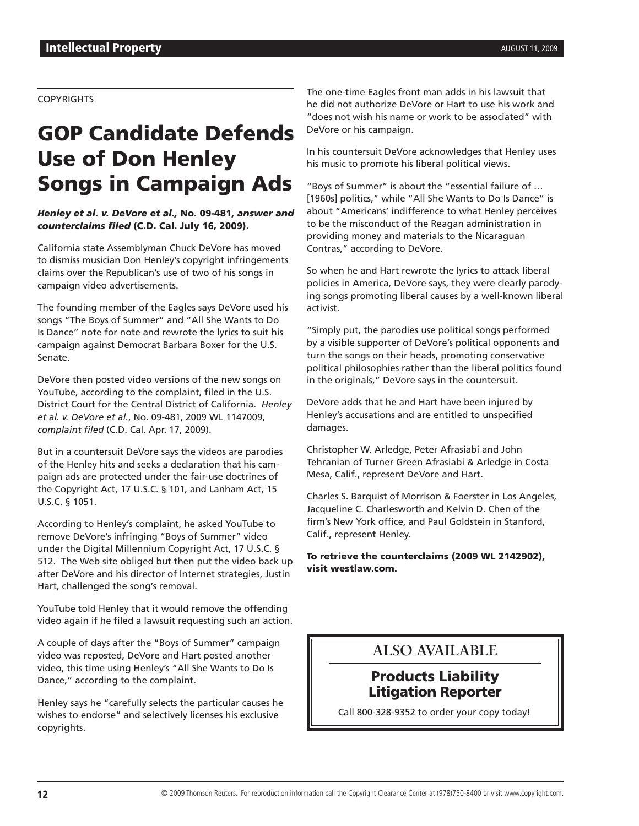#### **COPYRIGHTS**

# GOP Candidate Defends Use of Don Henley Songs in Campaign Ads

*Henley et al. v. DeVore et al.,* No. 09-481, *answer and counterclaims filed* (C.D. Cal. July 16, 2009).

California state Assemblyman Chuck DeVore has moved to dismiss musician Don Henley's copyright infringements claims over the Republican's use of two of his songs in campaign video advertisements.

The founding member of the Eagles says DeVore used his songs "The Boys of Summer" and "All She Wants to Do Is Dance" note for note and rewrote the lyrics to suit his campaign against Democrat Barbara Boxer for the U.S. Senate.

DeVore then posted video versions of the new songs on YouTube, according to the complaint, filed in the U.S. District Court for the Central District of California. *Henley et al. v. DeVore et al.*, No. 09-481, 2009 WL 1147009, *complaint filed* (C.D. Cal. Apr. 17, 2009).

But in a countersuit DeVore says the videos are parodies of the Henley hits and seeks a declaration that his campaign ads are protected under the fair-use doctrines of the Copyright Act, 17 U.S.C. § 101, and Lanham Act, 15 U.S.C. § 1051.

According to Henley's complaint, he asked YouTube to remove DeVore's infringing "Boys of Summer" video under the Digital Millennium Copyright Act, 17 U.S.C. § 512. The Web site obliged but then put the video back up after DeVore and his director of Internet strategies, Justin Hart, challenged the song's removal.

YouTube told Henley that it would remove the offending video again if he filed a lawsuit requesting such an action.

A couple of days after the "Boys of Summer" campaign video was reposted, DeVore and Hart posted another video, this time using Henley's "All She Wants to Do Is Dance," according to the complaint.

Henley says he "carefully selects the particular causes he wishes to endorse" and selectively licenses his exclusive copyrights.

The one-time Eagles front man adds in his lawsuit that he did not authorize DeVore or Hart to use his work and "does not wish his name or work to be associated" with DeVore or his campaign.

In his countersuit DeVore acknowledges that Henley uses his music to promote his liberal political views.

"Boys of Summer" is about the "essential failure of … [1960s] politics," while "All She Wants to Do Is Dance" is about "Americans' indifference to what Henley perceives to be the misconduct of the Reagan administration in providing money and materials to the Nicaraguan Contras," according to DeVore.

So when he and Hart rewrote the lyrics to attack liberal policies in America, DeVore says, they were clearly parodying songs promoting liberal causes by a well-known liberal activist.

"Simply put, the parodies use political songs performed by a visible supporter of DeVore's political opponents and turn the songs on their heads, promoting conservative political philosophies rather than the liberal politics found in the originals," DeVore says in the countersuit.

DeVore adds that he and Hart have been injured by Henley's accusations and are entitled to unspecified damages.

Christopher W. Arledge, Peter Afrasiabi and John Tehranian of Turner Green Afrasiabi & Arledge in Costa Mesa, Calif., represent DeVore and Hart.

Charles S. Barquist of Morrison & Foerster in Los Angeles, Jacqueline C. Charlesworth and Kelvin D. Chen of the firm's New York office, and Paul Goldstein in Stanford, Calif., represent Henley.

To retrieve the counterclaims (2009 WL 2142902), visit westlaw.com.

### **ALSO AVAILABLE**

### Products Liability Litigation Reporter

Call 800-328-9352 to order your copy today!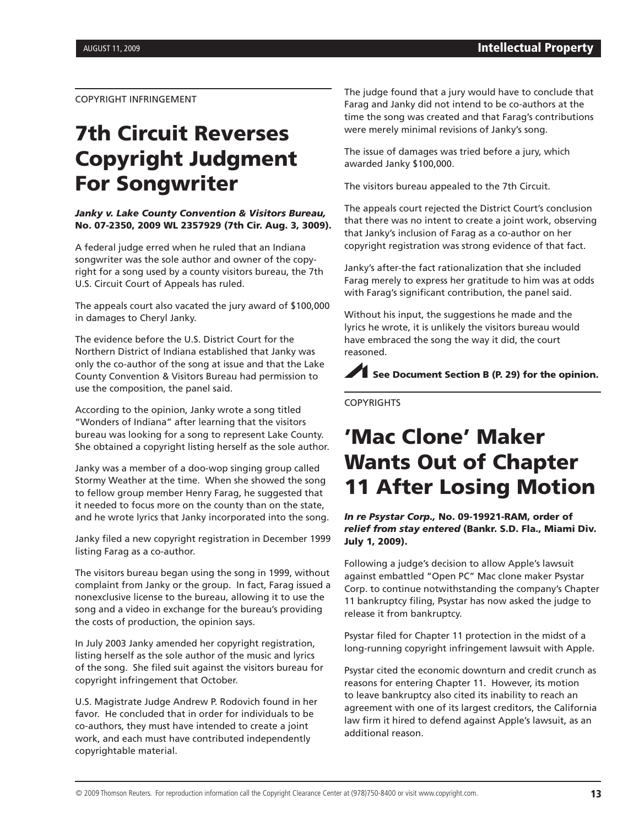COPYRIGHT INFRINGEMENT

# 7th Circuit Reverses Copyright Judgment For Songwriter

#### *Janky v. Lake County Convention & Visitors Bureau,* No. 07-2350, 2009 WL 2357929 (7th Cir. Aug. 3, 3009).

A federal judge erred when he ruled that an Indiana songwriter was the sole author and owner of the copyright for a song used by a county visitors bureau, the 7th U.S. Circuit Court of Appeals has ruled.

The appeals court also vacated the jury award of \$100,000 in damages to Cheryl Janky.

The evidence before the U.S. District Court for the Northern District of Indiana established that Janky was only the co-author of the song at issue and that the Lake County Convention & Visitors Bureau had permission to use the composition, the panel said.

According to the opinion, Janky wrote a song titled "Wonders of Indiana" after learning that the visitors bureau was looking for a song to represent Lake County. She obtained a copyright listing herself as the sole author.

Janky was a member of a doo-wop singing group called Stormy Weather at the time. When she showed the song to fellow group member Henry Farag, he suggested that it needed to focus more on the county than on the state, and he wrote lyrics that Janky incorporated into the song.

Janky filed a new copyright registration in December 1999 listing Farag as a co-author.

The visitors bureau began using the song in 1999, without complaint from Janky or the group. In fact, Farag issued a nonexclusive license to the bureau, allowing it to use the song and a video in exchange for the bureau's providing the costs of production, the opinion says.

In July 2003 Janky amended her copyright registration, listing herself as the sole author of the music and lyrics of the song. She filed suit against the visitors bureau for copyright infringement that October.

U.S. Magistrate Judge Andrew P. Rodovich found in her favor. He concluded that in order for individuals to be co-authors, they must have intended to create a joint work, and each must have contributed independently copyrightable material.

The judge found that a jury would have to conclude that Farag and Janky did not intend to be co-authors at the time the song was created and that Farag's contributions were merely minimal revisions of Janky's song.

The issue of damages was tried before a jury, which awarded Janky \$100,000.

The visitors bureau appealed to the 7th Circuit.

The appeals court rejected the District Court's conclusion that there was no intent to create a joint work, observing that Janky's inclusion of Farag as a co-author on her copyright registration was strong evidence of that fact.

Janky's after-the fact rationalization that she included Farag merely to express her gratitude to him was at odds with Farag's significant contribution, the panel said.

Without his input, the suggestions he made and the lyrics he wrote, it is unlikely the visitors bureau would have embraced the song the way it did, the court reasoned.

See Document Section B (P. 29) for the opinion.

**COPYRIGHTS** 

# 'Mac Clone' Maker Wants Out of Chapter 11 After Losing Motion

*In re Psystar Corp.,* No. 09-19921-RAM, order of *relief from stay entered* (Bankr. S.D. Fla., Miami Div. July 1, 2009).

Following a judge's decision to allow Apple's lawsuit against embattled "Open PC" Mac clone maker Psystar Corp. to continue notwithstanding the company's Chapter 11 bankruptcy filing, Psystar has now asked the judge to release it from bankruptcy.

Psystar filed for Chapter 11 protection in the midst of a long-running copyright infringement lawsuit with Apple.

Psystar cited the economic downturn and credit crunch as reasons for entering Chapter 11. However, its motion to leave bankruptcy also cited its inability to reach an agreement with one of its largest creditors, the California law firm it hired to defend against Apple's lawsuit, as an additional reason.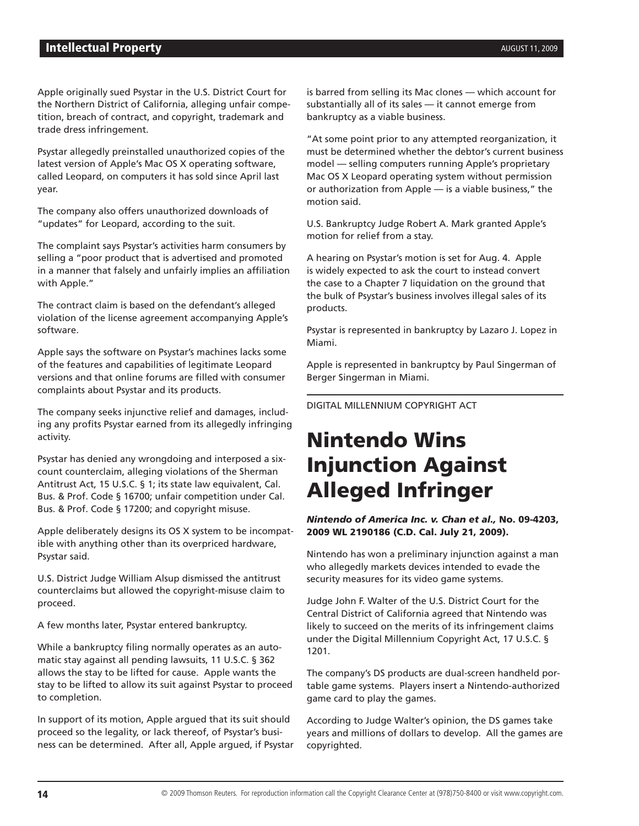#### **Intellectual Property** AUGUST 11, 2009

Apple originally sued Psystar in the U.S. District Court for the Northern District of California, alleging unfair competition, breach of contract, and copyright, trademark and trade dress infringement.

Psystar allegedly preinstalled unauthorized copies of the latest version of Apple's Mac OS X operating software, called Leopard, on computers it has sold since April last year.

The company also offers unauthorized downloads of "updates" for Leopard, according to the suit.

The complaint says Psystar's activities harm consumers by selling a "poor product that is advertised and promoted in a manner that falsely and unfairly implies an affiliation with Apple."

The contract claim is based on the defendant's alleged violation of the license agreement accompanying Apple's software.

Apple says the software on Psystar's machines lacks some of the features and capabilities of legitimate Leopard versions and that online forums are filled with consumer complaints about Psystar and its products.

The company seeks injunctive relief and damages, including any profits Psystar earned from its allegedly infringing activity.

Psystar has denied any wrongdoing and interposed a sixcount counterclaim, alleging violations of the Sherman Antitrust Act, 15 U.S.C. § 1; its state law equivalent, Cal. Bus. & Prof. Code § 16700; unfair competition under Cal. Bus. & Prof. Code § 17200; and copyright misuse.

Apple deliberately designs its OS X system to be incompatible with anything other than its overpriced hardware, Psystar said.

U.S. District Judge William Alsup dismissed the antitrust counterclaims but allowed the copyright-misuse claim to proceed.

A few months later, Psystar entered bankruptcy.

While a bankruptcy filing normally operates as an automatic stay against all pending lawsuits, 11 U.S.C. § 362 allows the stay to be lifted for cause. Apple wants the stay to be lifted to allow its suit against Psystar to proceed to completion.

In support of its motion, Apple argued that its suit should proceed so the legality, or lack thereof, of Psystar's business can be determined. After all, Apple argued, if Psystar

is barred from selling its Mac clones — which account for substantially all of its sales — it cannot emerge from bankruptcy as a viable business.

"At some point prior to any attempted reorganization, it must be determined whether the debtor's current business model — selling computers running Apple's proprietary Mac OS X Leopard operating system without permission or authorization from Apple — is a viable business," the motion said.

U.S. Bankruptcy Judge Robert A. Mark granted Apple's motion for relief from a stay.

A hearing on Psystar's motion is set for Aug. 4. Apple is widely expected to ask the court to instead convert the case to a Chapter 7 liquidation on the ground that the bulk of Psystar's business involves illegal sales of its products.

Psystar is represented in bankruptcy by Lazaro J. Lopez in Miami.

Apple is represented in bankruptcy by Paul Singerman of Berger Singerman in Miami.

DIGITAL MILLENNIUM COPYRIGHT ACT

# Nintendo Wins Injunction Against Alleged Infringer

*Nintendo of America Inc. v. Chan et al.,* No. 09-4203, 2009 WL 2190186 (C.D. Cal. July 21, 2009).

Nintendo has won a preliminary injunction against a man who allegedly markets devices intended to evade the security measures for its video game systems.

Judge John F. Walter of the U.S. District Court for the Central District of California agreed that Nintendo was likely to succeed on the merits of its infringement claims under the Digital Millennium Copyright Act, 17 U.S.C. § 1201.

The company's DS products are dual-screen handheld portable game systems. Players insert a Nintendo-authorized game card to play the games.

According to Judge Walter's opinion, the DS games take years and millions of dollars to develop. All the games are copyrighted.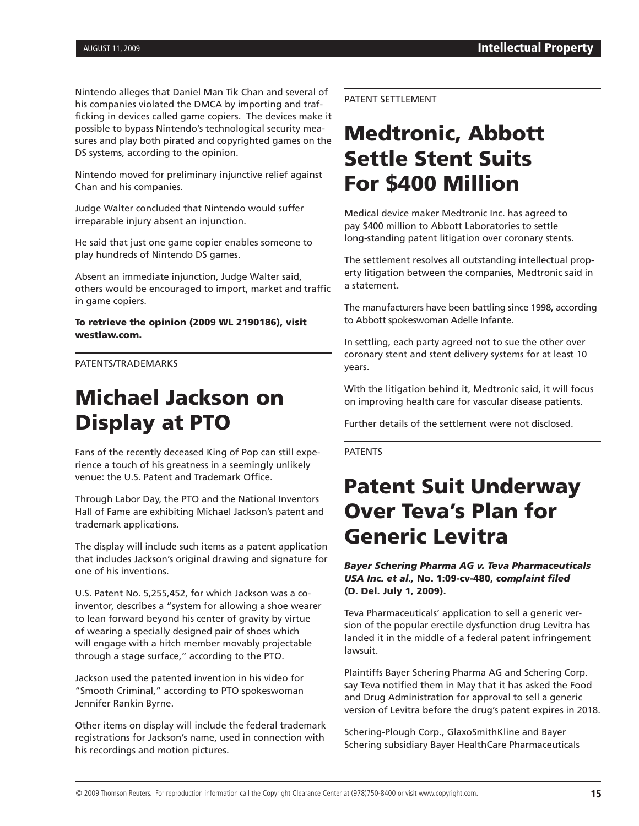Nintendo alleges that Daniel Man Tik Chan and several of his companies violated the DMCA by importing and trafficking in devices called game copiers. The devices make it possible to bypass Nintendo's technological security measures and play both pirated and copyrighted games on the DS systems, according to the opinion.

Nintendo moved for preliminary injunctive relief against Chan and his companies.

Judge Walter concluded that Nintendo would suffer irreparable injury absent an injunction.

He said that just one game copier enables someone to play hundreds of Nintendo DS games.

Absent an immediate injunction, Judge Walter said, others would be encouraged to import, market and traffic in game copiers.

To retrieve the opinion (2009 WL 2190186), visit westlaw.com.

PATENTS/TRADEMARKS

# Michael Jackson on Display at PTO

Fans of the recently deceased King of Pop can still experience a touch of his greatness in a seemingly unlikely venue: the U.S. Patent and Trademark Office.

Through Labor Day, the PTO and the National Inventors Hall of Fame are exhibiting Michael Jackson's patent and trademark applications.

The display will include such items as a patent application that includes Jackson's original drawing and signature for one of his inventions.

U.S. Patent No. 5,255,452, for which Jackson was a coinventor, describes a "system for allowing a shoe wearer to lean forward beyond his center of gravity by virtue of wearing a specially designed pair of shoes which will engage with a hitch member movably projectable through a stage surface," according to the PTO.

Jackson used the patented invention in his video for "Smooth Criminal," according to PTO spokeswoman Jennifer Rankin Byrne.

Other items on display will include the federal trademark registrations for Jackson's name, used in connection with his recordings and motion pictures.

PATENT SETTLEMENT

# Medtronic, Abbott Settle Stent Suits For \$400 Million

Medical device maker Medtronic Inc. has agreed to pay \$400 million to Abbott Laboratories to settle long-standing patent litigation over coronary stents.

The settlement resolves all outstanding intellectual property litigation between the companies, Medtronic said in a statement.

The manufacturers have been battling since 1998, according to Abbott spokeswoman Adelle Infante.

In settling, each party agreed not to sue the other over coronary stent and stent delivery systems for at least 10 years.

With the litigation behind it, Medtronic said, it will focus on improving health care for vascular disease patients.

Further details of the settlement were not disclosed.

PATENTS

# Patent Suit Underway Over Teva's Plan for Generic Levitra

*Bayer Schering Pharma AG v. Teva Pharmaceuticals USA Inc. et al.,* No. 1:09-cv-480, *complaint filed* (D. Del. July 1, 2009).

Teva Pharmaceuticals' application to sell a generic version of the popular erectile dysfunction drug Levitra has landed it in the middle of a federal patent infringement lawsuit.

Plaintiffs Bayer Schering Pharma AG and Schering Corp. say Teva notified them in May that it has asked the Food and Drug Administration for approval to sell a generic version of Levitra before the drug's patent expires in 2018.

Schering-Plough Corp., GlaxoSmithKline and Bayer Schering subsidiary Bayer HealthCare Pharmaceuticals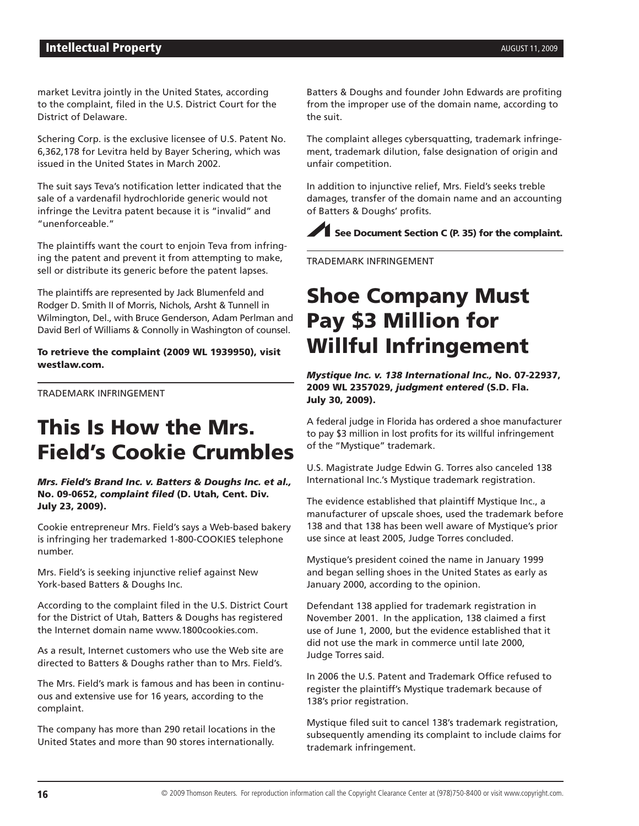market Levitra jointly in the United States, according to the complaint, filed in the U.S. District Court for the District of Delaware.

Schering Corp. is the exclusive licensee of U.S. Patent No. 6,362,178 for Levitra held by Bayer Schering, which was issued in the United States in March 2002.

The suit says Teva's notification letter indicated that the sale of a vardenafil hydrochloride generic would not infringe the Levitra patent because it is "invalid" and "unenforceable."

The plaintiffs want the court to enjoin Teva from infringing the patent and prevent it from attempting to make, sell or distribute its generic before the patent lapses.

The plaintiffs are represented by Jack Blumenfeld and Rodger D. Smith II of Morris, Nichols, Arsht & Tunnell in Wilmington, Del., with Bruce Genderson, Adam Perlman and David Berl of Williams & Connolly in Washington of counsel.

To retrieve the complaint (2009 WL 1939950), visit westlaw.com.

TRADEMARK INFRINGEMENT

# This Is How the Mrs. Field's Cookie Crumbles

*Mrs. Field's Brand Inc. v. Batters & Doughs Inc. et al.,* No. 09-0652, *complaint filed* (D. Utah, Cent. Div. July 23, 2009).

Cookie entrepreneur Mrs. Field's says a Web-based bakery is infringing her trademarked 1-800-COOKIES telephone number.

Mrs. Field's is seeking injunctive relief against New York-based Batters & Doughs Inc.

According to the complaint filed in the U.S. District Court for the District of Utah, Batters & Doughs has registered the Internet domain name www.1800cookies.com.

As a result, Internet customers who use the Web site are directed to Batters & Doughs rather than to Mrs. Field's.

The Mrs. Field's mark is famous and has been in continuous and extensive use for 16 years, according to the complaint.

The company has more than 290 retail locations in the United States and more than 90 stores internationally.

Batters & Doughs and founder John Edwards are profiting from the improper use of the domain name, according to the suit.

The complaint alleges cybersquatting, trademark infringement, trademark dilution, false designation of origin and unfair competition.

In addition to injunctive relief, Mrs. Field's seeks treble damages, transfer of the domain name and an accounting of Batters & Doughs' profits.

 $\blacktriangleright$  See Document Section C (P. 35) for the complaint.

TRADEMARK INFRINGEMENT

# Shoe Company Must Pay \$3 Million for Willful Infringement

*Mystique Inc. v. 138 International Inc.,* No. 07-22937, 2009 WL 2357029, *judgment entered* (S.D. Fla. July 30, 2009).

A federal judge in Florida has ordered a shoe manufacturer to pay \$3 million in lost profits for its willful infringement of the "Mystique" trademark.

U.S. Magistrate Judge Edwin G. Torres also canceled 138 International Inc.'s Mystique trademark registration.

The evidence established that plaintiff Mystique Inc., a manufacturer of upscale shoes, used the trademark before 138 and that 138 has been well aware of Mystique's prior use since at least 2005, Judge Torres concluded.

Mystique's president coined the name in January 1999 and began selling shoes in the United States as early as January 2000, according to the opinion.

Defendant 138 applied for trademark registration in November 2001. In the application, 138 claimed a first use of June 1, 2000, but the evidence established that it did not use the mark in commerce until late 2000, Judge Torres said.

In 2006 the U.S. Patent and Trademark Office refused to register the plaintiff's Mystique trademark because of 138's prior registration.

Mystique filed suit to cancel 138's trademark registration, subsequently amending its complaint to include claims for trademark infringement.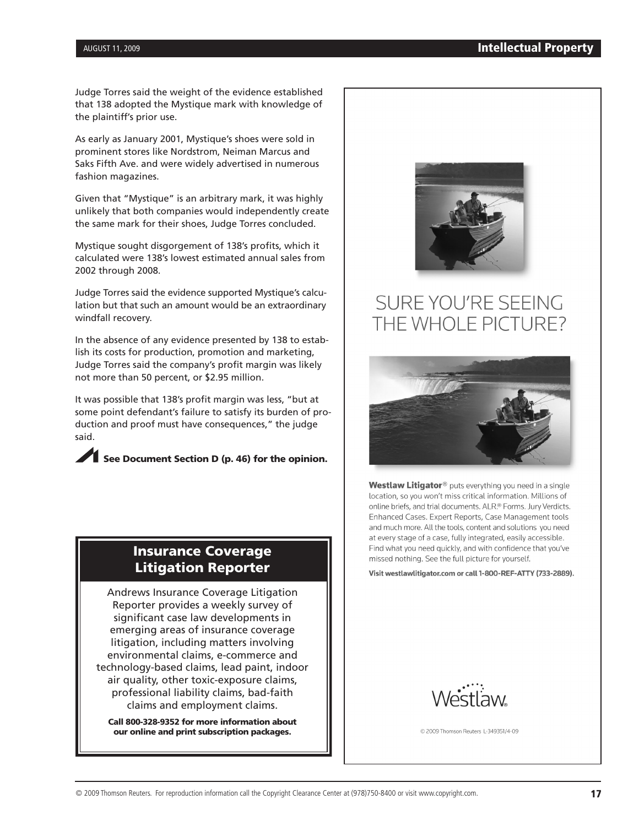Judge Torres said the weight of the evidence established that 138 adopted the Mystique mark with knowledge of the plaintiff's prior use.

As early as January 2001, Mystique's shoes were sold in prominent stores like Nordstrom, Neiman Marcus and Saks Fifth Ave. and were widely advertised in numerous fashion magazines.

Given that "Mystique" is an arbitrary mark, it was highly unlikely that both companies would independently create the same mark for their shoes, Judge Torres concluded.

Mystique sought disgorgement of 138's profits, which it calculated were 138's lowest estimated annual sales from 2002 through 2008.

Judge Torres said the evidence supported Mystique's calculation but that such an amount would be an extraordinary windfall recovery.

In the absence of any evidence presented by 138 to establish its costs for production, promotion and marketing, Judge Torres said the company's profit margin was likely not more than 50 percent, or \$2.95 million.

It was possible that 138's profit margin was less, "but at some point defendant's failure to satisfy its burden of production and proof must have consequences," the judge said.

See Document Section D (p. 46) for the opinion.

### Insurance Coverage Litigation Reporter

Andrews Insurance Coverage Litigation Reporter provides a weekly survey of significant case law developments in emerging areas of insurance coverage litigation, including matters involving environmental claims, e-commerce and technology-based claims, lead paint, indoor air quality, other toxic-exposure claims, professional liability claims, bad-faith claims and employment claims.

Call 800-328-9352 for more information about our online and print subscription packages.



# SURE YOU'RE SEEING THE WHOLE PICTURE?



Westlaw Litigator<sup>®</sup> puts everything you need in a single location, so you won't miss critical information. Millions of online briefs, and trial documents. ALR.® Forms. Jury Verdicts. Enhanced Cases. Expert Reports, Case Management tools and much more. All the tools, content and solutions you need at every stage of a case, fully integrated, easily accessible. Find what you need quickly, and with confidence that you've missed nothing. See the full picture for yourself.

Visit westlawlitigator.com or call 1-800-REF-ATTY (733-2889).



© 2009 Thomson Reuters L-349351/4-09